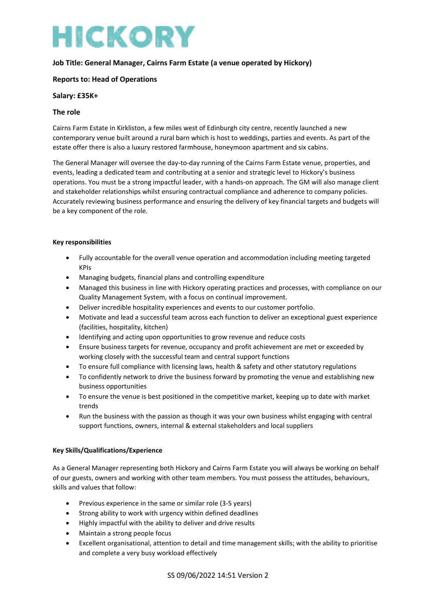# HICKORY

# **Job Title: General Manager, Cairns Farm Estate (a venue operated by Hickory)**

# **Reports to: Head of Operations**

## **Salary: £35K+**

## **The role**

Cairns Farm Estate in Kirkliston, a few miles west of Edinburgh city centre, recently launched a new contemporary venue built around a rural barn which is host to weddings, parties and events. As part of the estate offer there is also a luxury restored farmhouse, honeymoon apartment and six cabins.

The General Manager will oversee the day-to-day running of the Cairns Farm Estate venue, properties, and events, leading a dedicated team and contributing at a senior and strategic level to Hickory's business operations. You must be a strong impactful leader, with a hands-on approach. The GM will also manage client and stakeholder relationships whilst ensuring contractual compliance and adherence to company policies. Accurately reviewing business performance and ensuring the delivery of key financial targets and budgets will be a key component of the role.

## **Key responsibilities**

- Fully accountable for the overall venue operation and accommodation including meeting targeted KPIs
- Managing budgets, financial plans and controlling expenditure
- Managed this business in line with Hickory operating practices and processes, with compliance on our Quality Management System, with a focus on continual improvement.
- Deliver incredible hospitality experiences and events to our customer portfolio.
- Motivate and lead a successful team across each function to deliver an exceptional guest experience (facilities, hospitality, kitchen)
- Identifying and acting upon opportunities to grow revenue and reduce costs
- Ensure business targets for revenue, occupancy and profit achievement are met or exceeded by working closely with the successful team and central support functions
- To ensure full compliance with licensing laws, health & safety and other statutory regulations
- To confidently network to drive the business forward by promoting the venue and establishing new business opportunities
- To ensure the venue is best positioned in the competitive market, keeping up to date with market trends
- Run the business with the passion as though it was your own business whilst engaging with central support functions, owners, internal & external stakeholders and local suppliers

## **Key Skills/Qualifications/Experience**

As a General Manager representing both Hickory and Cairns Farm Estate you will always be working on behalf of our guests, owners and working with other team members. You must possess the attitudes, behaviours, skills and values that follow:

- Previous experience in the same or similar role (3-5 years)
- Strong ability to work with urgency within defined deadlines
- Highly impactful with the ability to deliver and drive results
- Maintain a strong people focus
- Excellent organisational, attention to detail and time management skills; with the ability to prioritise and complete a very busy workload effectively